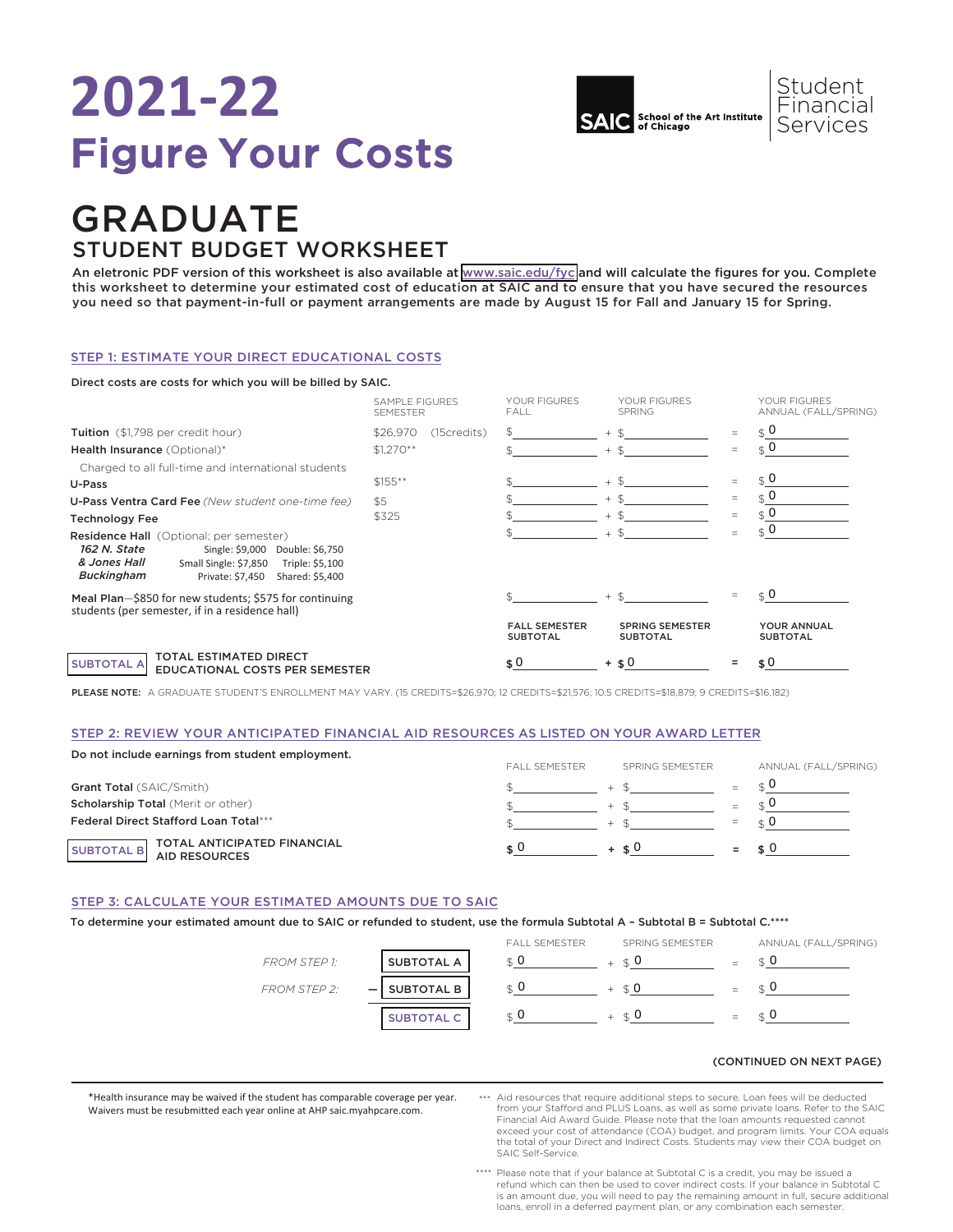# **2021-22** Figure Your Costs



# GRADUATE STUDENT BUDGET WORKSHEET

An eletronic PDF version of this worksheet is also available at [www.saic.edu/fyc](https://www.saic.edu/tuition/figure-your-costs) and will calculate the figures for you. Complete this worksheet to determine your estimated cost of education at SAIC and to ensure that you have secured the resources you need so that payment-in-full or payment arrangements are made by August 15 for Fall and January 15 for Spring.

## STEP 1: ESTIMATE YOUR DIRECT EDUCATIONAL COSTS

#### Direct costs are costs for which you will be billed by SAIC.

|                                                                                                                                                                                                                        | <b>SAMPLE FIGURES</b><br><b>SEMESTER</b> |             | YOUR FIGURES<br><b>FALL</b>             | YOUR FIGURES<br><b>SPRING</b>             |                          | YOUR FIGURES<br>ANNUAL (FALL/SPRING) |
|------------------------------------------------------------------------------------------------------------------------------------------------------------------------------------------------------------------------|------------------------------------------|-------------|-----------------------------------------|-------------------------------------------|--------------------------|--------------------------------------|
| Tuition (\$1,798 per credit hour)                                                                                                                                                                                      | \$26,970                                 | (15credits) |                                         | $+$ \$                                    |                          | $\mathfrak{g}$ 0                     |
| Health Insurance (Optional)*                                                                                                                                                                                           | $$1.270**$                               |             |                                         | $+$ \$                                    | $=$                      | $\in 0$                              |
| Charged to all full-time and international students                                                                                                                                                                    |                                          |             |                                         |                                           |                          |                                      |
| U-Pass                                                                                                                                                                                                                 | $$155***$                                |             |                                         | $+$ \$                                    | $\overline{\phantom{m}}$ | $\in \mathbf{0}$                     |
| <b>U-Pass Ventra Card Fee</b> (New student one-time fee)                                                                                                                                                               | \$5                                      |             |                                         | $+$ \$                                    | $=$                      | $\mathcal{L}$ 0                      |
| <b>Technology Fee</b>                                                                                                                                                                                                  | \$325                                    |             |                                         | $+$ \$                                    | $=$                      | $\in 0$                              |
| <b>Residence Hall</b> (Optional; per semester)<br>162 N. State<br>Single: \$9,000 Double: \$6,750<br>& Jones Hall<br>Small Single: \$7,850<br>Triple: \$5,100<br><b>Buckingham</b><br>Private: \$7,450 Shared: \$5,400 |                                          |             |                                         | $+$ \$                                    |                          | $\triangle$ 0                        |
| Meal Plan-\$850 for new students; \$575 for continuing<br>students (per semester, if in a residence hall)                                                                                                              |                                          |             |                                         | $+$ \$                                    |                          | $\hat{O}$                            |
|                                                                                                                                                                                                                        |                                          |             | <b>FALL SEMESTER</b><br><b>SUBTOTAL</b> | <b>SPRING SEMESTER</b><br><b>SUBTOTAL</b> |                          | YOUR ANNUAL<br><b>SUBTOTAL</b>       |
| TOTAL ESTIMATED DIRECT<br><b>SUBTOTAL A</b><br>EDUCATIONAL COSTS PER SEMESTER                                                                                                                                          |                                          |             | \$O                                     | $+$ \$0                                   |                          | \$0                                  |

PLEASE NOTE: A GRADUATE STUDENT'S ENROLLMENT MAY VARY. (15 CREDITS=\$26,970; 12 CREDITS=\$21,576; 10.5 CREDITS=\$18,879; 9 CREDITS=\$16,182)

#### STEP 2: REVIEW YOUR ANTICIPATED FINANCIAL AID RESOURCES AS LISTED ON YOUR AWARD LETTER

| Do not include earnings from student employment.                  |                      |                 |  |                      |  |
|-------------------------------------------------------------------|----------------------|-----------------|--|----------------------|--|
|                                                                   | <b>FALL SEMESTER</b> | SPRING SEMESTER |  | ANNUAL (FALL/SPRING) |  |
| <b>Grant Total (SAIC/Smith)</b>                                   |                      |                 |  |                      |  |
| <b>Scholarship Total (Merit or other)</b>                         |                      |                 |  |                      |  |
| Federal Direct Stafford Loan Total***                             |                      |                 |  |                      |  |
| TOTAL ANTICIPATED FINANCIAL<br>AID RESOURCES<br><b>SUBTOTAL B</b> |                      | + ¢ ()          |  |                      |  |

#### STEP 3: CALCULATE YOUR ESTIMATED AMOUNTS DUE TO SAIC

To determine your estimated amount due to SAIC or refunded to student, use the formula Subtotal A – Subtotal B = Subtotal C.\*\*\*\*

|                     |                   | <b>FAIL SEMESTER</b> | SPRING SEMESTER  | ANNUAL (FALL/SPRING) |
|---------------------|-------------------|----------------------|------------------|----------------------|
| FROM STEP 1:        | <b>SUBTOTAL A</b> | ≮ (J                 |                  |                      |
| <b>FROM STEP 2:</b> | <b>SUBTOTAL B</b> | ¢υ                   | $+$ $\uparrow$ ( |                      |
|                     | <b>SUBTOTAL C</b> | ς Ο                  | ≮ U              |                      |

#### (CONTINUED ON NEXT PAGE)

\*Health insurance may be waived if the student has comparable coverage per year. Waivers must be resubmitted each year online at AHP saic.myahpcare.com.

Aid resources that require additional steps to secure. Loan fees will be deducted \*\*\* from your Stafford and PLUS Loans, as well as some private loans. Refer to the SAIC Financial Aid Award Guide. Please note that the loan amounts requested cannot exceed your cost of attendance (COA) budget, and program limits. Your COA equals the total of your Direct and Indirect Costs. Students may view their COA budget on SAIC Self-Service.

Please note that if your balance at Subtotal C is a credit, you may be issued a refund which can then be used to cover indirect costs. If your balance in Subtotal C \*\*\*\* is an amount due, you will need to pay the remaining amount in full, secure additional loans, enroll in a deferred payment plan, or any combination each semester.